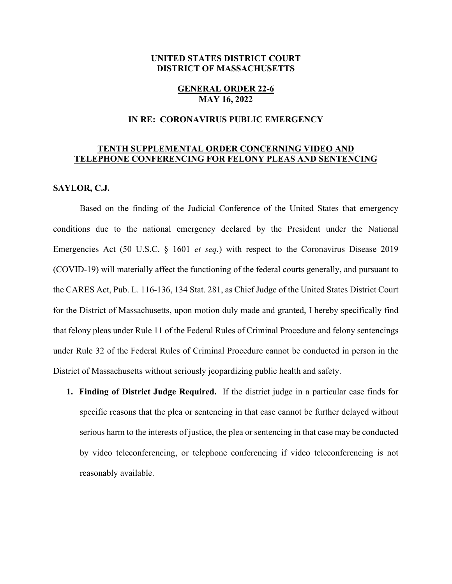# **UNITED STATES DISTRICT COURT DISTRICT OF MASSACHUSETTS**

### **GENERAL ORDER 22-6 MAY 16, 2022**

### **IN RE: CORONAVIRUS PUBLIC EMERGENCY**

# **TENTH SUPPLEMENTAL ORDER CONCERNING VIDEO AND TELEPHONE CONFERENCING FOR FELONY PLEAS AND SENTENCING**

### **SAYLOR, C.J.**

Based on the finding of the Judicial Conference of the United States that emergency conditions due to the national emergency declared by the President under the National Emergencies Act (50 U.S.C. § 1601 *et seq.*) with respect to the Coronavirus Disease 2019 (COVID-19) will materially affect the functioning of the federal courts generally, and pursuant to the CARES Act, Pub. L. 116-136, 134 Stat. 281, as Chief Judge of the United States District Court for the District of Massachusetts, upon motion duly made and granted, I hereby specifically find that felony pleas under Rule 11 of the Federal Rules of Criminal Procedure and felony sentencings under Rule 32 of the Federal Rules of Criminal Procedure cannot be conducted in person in the District of Massachusetts without seriously jeopardizing public health and safety.

**1. Finding of District Judge Required.** If the district judge in a particular case finds for specific reasons that the plea or sentencing in that case cannot be further delayed without serious harm to the interests of justice, the plea or sentencing in that case may be conducted by video teleconferencing, or telephone conferencing if video teleconferencing is not reasonably available.